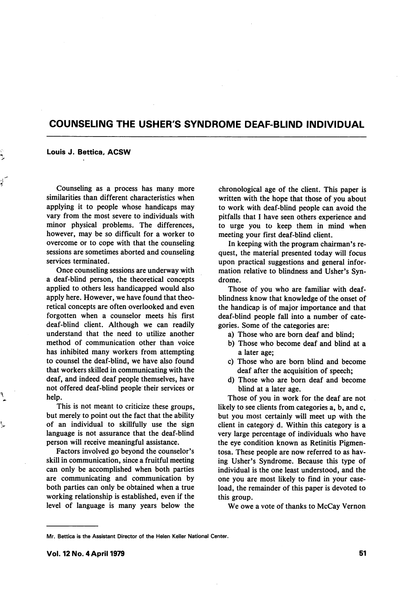# COUNSELING THE USHER'S SYNDROME DEAF-BLIND INDIVIDUAL

#### Louis J. Bettica, ACSW

Counseling as a process has many more similarities than different characteristics when applying it to people whose handicaps may vary from the most severe to individuals with minor physical problems. The differences, however, may be so difficult for a worker to overcome or to cope with that the counseling sessions are sometimes aborted and counseling services terminated.

Once counseling sessions are underway with a deaf-blind person, the theoretical concepts applied to others less handicapped would also apply here. However, we have found that theo retical concepts are often overlooked and even forgotten when a counselor meets his first deaf-blind client. Although we can readily understand that the need to utilize another method of communication other than voice has inhibited many workers from attempting to counsel the deaf-blind, we have also found that workers skilled in communicating with the deaf, and indeed deaf people themselves, have not offered deaf-blind people their services or help.

This is not meant to criticize these groups, but merely to point out the fact that the ability of an individual to skillfully use the sign language is not assurance that the deaf-blind person will receive meaningful assistance.

Factors involved go beyond the counselor's skill in communication, since a fruitful meeting can only be accomplished when both parties are communicating and communication by both parties can only be obtained when a true working relationship is established, even if the level of language is many years below the

chronological age of the client. This paper is written with the hope that those of you about to work with deaf-blind people can avoid the pitfalls that I have seen others experience and to urge you to keep them in mind when meeting your first deaf-blind client.

In keeping with the program chairman's re quest, the material presented today will focus upon practical suggestions and general infor mation relative to blindness and Usher's Syn drome.

Those of you who are familiar with deafblindness know that knowledge of the onset of the handicap is of major importance and that deaf-blind people fall into a number of cate gories. Some of the categories are:

- a) Those who are born deaf and blind;
- b) Those who become deaf and blind at a a later age;
- c) Those who are born blind and become deaf after the acquisition of speech;
- d) Those who are born deaf and become blind at a later age.

Those of you in work for the deaf are not likely to see clients from categories a, b, and c, but you most certainly will meet up with the client in category d. Within this category is a very large percentage of individuals who have the eye condition known as Retinitis Pigmentosa. These people are now referred to as hav ing Usher's Syndrome. Because this type of individual is the one least understood, and the one you are most likely to find in your case load, the remainder of this paper is devoted to this group.

We owe a vote of thanks to McCay Vernon

Mr. Bettica is the Assistant Director of the Helen Keller National Center.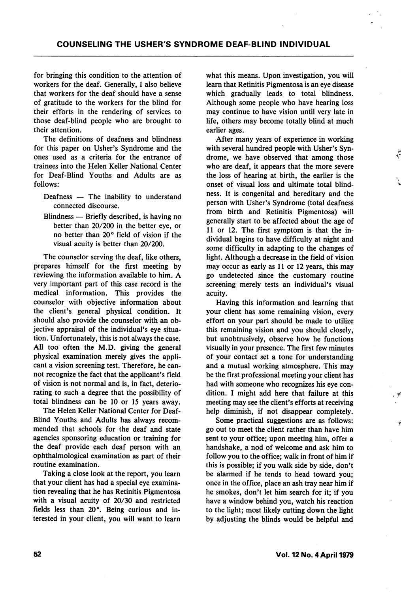for bringing this condition to the attention of workers for the deaf. Generally, I also believe that workers for the deaf should have a sense of gratitude to the workers for the blind for their efforts in the rendering of services to those deaf-blind people who are brought to their attention.

The definitions of deafness and blindness for this paper on Usher's Syndrome and the ones used as a criteria for the entrance of trainees into the Helen Keller National Center for Deaf-Blind Youths and Adults are as follows:

- Deafness The inability to understand connected discourse.
- Blindness Briefly described, is having no better than 20/200 in the better eye, or no better than 20° field of vision if the visual acuity is better than 20/200.

The counselor serving the deaf, like others, prepares himself for the first meeting by reviewing the information available to him. A very important part of this case record is the medical information. This provides the counselor with objective information about the client's general physical condition. It should also provide the counselor with an ob jective appraisal of the individual's eye situa tion. Unfortunately, this is not always the case. All too often the M.D. giving the general physical examination merely gives the appli cant a vision screening test. Therefore, he can not recognize the fact that the applicant's field of vision is not normal and is, in fact, deterio rating to such a degree that the possibility of total blindness can be 10 or 15 years away.

The Helen Keller National Center for Deaf-Blind Youths and Adults has always recom mended that schools for the deaf and state agencies sponsoring education or training for the deaf provide each deaf person with an ophthalmological examination as part of their routine examination.

Taking a close look at the report, you learn that your client has had a special eye examina tion revealing that he has Retinitis Pigmentosa with a visual acuity of 20/30 and restricted fields less than 20°. Being curious and in terested in your client, you will want to learn

what this means. Upon investigation, you will learn that Retinitis Pigmentosa is an eye disease which gradually leads to total blindness. Although some people who have hearing loss may continue to have vision until very late in life, others may become totally blind at much earlier ages.

After many years of experience in working with several hundred people with Usher's Syn drome, we have observed that among those who are deaf, it appears that the more severe the loss of hearing at birth, the earlier is the onset of visual loss and ultimate total blind ness. It is congenital and hereditary and the person with Usher's Syndrome (total deafness from birth and Retinitis Pigmentosa) will generally start to be affected about the age of 11 or 12. The first symptom is that the in dividual begins to have difficulty at night and some difficulty in adapting to the changes of light. Although a decrease in the field of vision may occur as early as 11 or 12 years, this may go undetected since the customary routine screening merely tests an individual's visual acuity.

Having this information and learning that your client has some remaining vision, every effort on your part should be made to utilize this remaining vision and you should closely, but unobtrusively, observe how he functions visually in your presence. The first few minutes of your contact set a tone for understanding and a mutual working atmosphere. This may be the first professional meeting your client has had with someone who recognizes his eye con dition. I might add here that failure at this meeting may see the client's efforts at receiving help diminish, if not disappear completely.

Some practical suggestions are as follows: go out to meet the client rather than have him sent to your office; upon meeting him, offer a handshake, a nod of welcome and ask him to follow you to the office; walk in front of him if this is possible; if you walk side by side, don't be alarmed if he tends to head toward you; once in the office, place an ash tray near him if he smokes, don't let him search for it; if you have a window behind you, watch his reaction to the light; most likely cutting down the light by adjusting the blinds would be helpful and

٦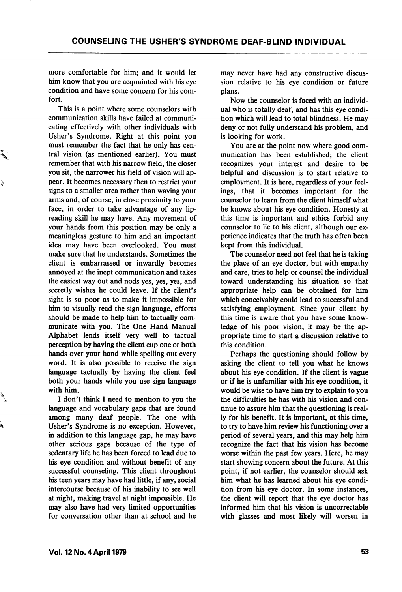more comfortable for him; and it would let him know that you are acquainted with his eye condition and have some concern for his com fort.

This is a point where some counselors with communication skills have failed at communi cating effectively with other individuals with Usher's Syndrome. Right at this point you must remember the fact that he only has cen tral vision (as mentioned earlier). You must remember that with his narrow field, the closer you sit, the narrower his field of vision will ap pear. It becomes necessary then to restrict your signs to a smaller area rather than waving your arms and, of course, in close proximity to your face, in order to take advantage of any lipreading skill he may have. Any movement of your hands from this position may be only a meaningless gesture to him and an important idea may have been overlooked. You must make sure that he understands. Sometimes the client is embarrassed or inwardly becomes annoyed at the inept communication and takes the easiest way out and nods yes, yes, yes, and secretly wishes he could leave. If the client's sight is so poor as to make it impossible for him to visually read the sign language, efforts should be made to help him to tactually com municate with you. The One Hand Manual Alphabet lends itself very well to tactual perception by having the client cup one or both hands over your hand while spelling out every word. It is also possible to receive the sign language tactually by having the client feel both your hands while you use sign language with him.

Ĵ

ò,

I don't think I need to mention to you the language and vocabulary gaps that are found among many deaf people. The one with Usher's Syndrome is no exception. However, in addition to this language gap, he may have other serious gaps because of the type of sedentary life he has been forced to lead due to his eye condition and without benefit of any successful counseling. This client throughout his teen years may have had little, if any, social intercourse because of his inability to see well at night, making travel at night impossible. He may also have had very limited opportunities for conversation other than at school and he may never have had any constructive discus sion relative to his eye condition or future plans.

Now the counselor is faced with an individ ual who is totally deaf, and has this eye condi tion which will lead to total blindness. He may deny or not fully understand his problem, and is looking for work.

You are at the point now where good com munication has been established; the client recognizes your interest and desire to be helpful and discussion is to start relative to employment. It is here, regardless of your feel ings, that it becomes important for the counselor to learn from the client himself what he knows about his eye condition. Honesty at this time is important and ethics forbid any counselor to lie to his client, although our ex perience indicates that the truth has often been kept from this individual.

The counselor need not feel that he is taking the place of an eye doctor, but with empathy and care, tries to help or counsel the individual toward understanding his situation so that appropriate help can be obtained for him which conceivably could lead to successful and satisfying employment. Since your client by this time is aware that you have some know ledge of his poor vision, it may be the ap propriate time to start a discussion relative to this condition.

Perhaps the questioning should follow by asking the client to tell you what he knows about his eye condition. If the client is vague or if he is unfamiliar with his eye condition, it would be wise to have him try to explain to you the difficulties he has with his vision and con tinue to assure him that the questioning is real ly for his benefit. It is important, at this time, to try to have him review his functioning over a period of several years, and this may help him recognize the fact that his vision has become worse within the past few years. Here, he may start showing concern about the future. At this point, if not earlier, the counselor should ask him what he has learned about his eye condi tion from his eye doctor. In some instances, the client will report that the eye doctor has informed him that his vision is uncorrectable with glasses and most likely will worsen in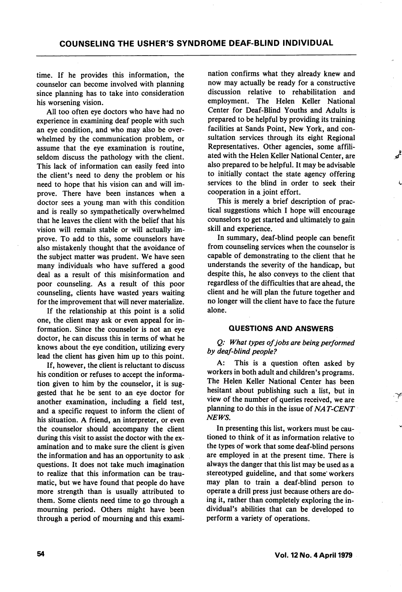time. If he provides this information, the counselor can become involved with planning since planning has to take into consideration his worsening vision.

All too often eye doctors who have had no experience in examining deaf people with such an eye condition, and who may also be over whelmed by the communication problem, or assume that the eye examination is routine, seldom discuss the pathology with the client. This lack of information can easily feed into the client's need to deny the problem or his need to hope that his vision can and will im prove. There have been instances when a doctor sees a young man with this condition and is really so sympathetically overwhelmed that he leaves the client with the belief that his vision will remain stable or will actually im prove. To add to this, some counselors have also mistakenly thought that the avoidance of the subject matter was prudent. We have seen many individuals who have suffered a good deal as a result of this misinformation and poor counseling. As a result of this poor counseling, clients have wasted years waiting for the improvement that will never materialize.

If the relationship at this point is a solid one, the client may ask or even appeal for in formation. Since the counselor is not an eye doctor, he can discuss this in terms of what he knows about the eye condition, utilizing every lead the client has given him up to this point.

If, however, the client is reluctant to discuss his condition or refuses to accept the informa tion given to him by the counselor, it is sug gested that he be sent to an eye doctor for another examination, including a field test, and a specific request to inform the client of his situation. A friend, an interpreter, or even the counselor should accompany the client during this visit to assist the doctor with the ex amination and to make sure the client is given the information and has an opportunity to ask questions. It does not take much imagination to realize that this information can be trau matic, but we have found that people do have more strength than is usually attributed to them. Some clients need time to go through a mourning period. Others might have been through a period of mourning and this exami

nation confirms what they already knew and now may actually be ready for a constructive discussion relative to rehabilitation and employment. The Helen Keller National Center for Deaf-Blind Youths and Adults is prepared to be helpful by providing its training facilities at Sands Point, New York, and con sultation services through its eight Regional Representatives. Other agencies, some affili ated with the Helen Keller National Center, are also prepared to be helpful. It may be advisable to initially contact the state agency offering services to the blind in order to seek their cooperation in a joint effort.

This is merely a brief description of prac tical suggestions which I hope will encourage counselors to get started and ultimately to gain skill and experience.

In summary, deaf-blind people can benefit from counseling services when the counselor is capable of demonstrating to the client that he understands the severity of the handicap, but despite this, he also conveys to the client that regardless of the difficulties that are ahead, the client and he will plan the future together and no longer will the client have to face the future alone.

#### QUESTIONS AND ANSWERS

Q: What types of jobs are being performed by deaf-blind people?

A: This is a question often asked by workers in both adult and children's programs. The Helen Keller National Center has been hesitant about publishing such a list, but in view of the number of queries received, we are planning to do this in the issue of  $NAT-CENT$ NEWS.

In presenting this list, workers must be cau tioned to think of it as information relative to the types of work that some deaf-blind persons are employed in at the present time. There is always the danger that this list may be used as a stereotyped guideline, and that some' workers may plan to train a deaf-blind person to operate a drill press just because others are do ing it, rather than completely exploring the in dividual's abilities that can be developed to perform a variety of operations.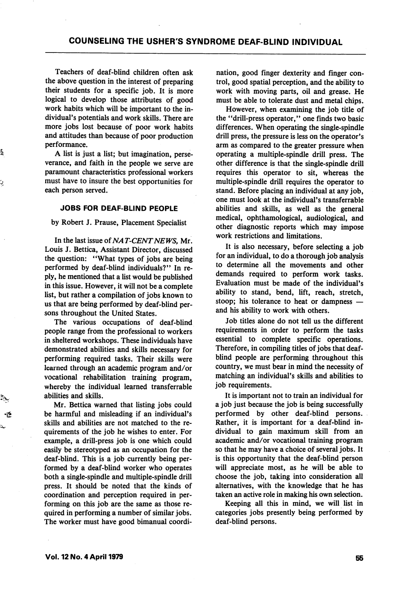Teachers of deaf-blind children often ask the above question in the interest of preparing their students for a specific job. It is more logical to develop those attributes of good work habits which will be important to the in dividual's potentials and work skills. There are more jobs lost because of poor work habits and attitudes than because of poor production performance.

A list is just a list; but imagination, perse verance, and faith in the people we serve are paramount characteristics professional workers must have to insure the best opportunities for each person served.

# JOBS FOR DEAF-BUND PEOPLE

by Robert J. Prause, Placement Specialist

In the last issue of NAT-CENTNEWS, Mr. Louis J. Bettica, Assistant Director, discussed the question: "What types of jobs are being performed by deaf-blind individuals?" In re ply, he mentioned that a list would be published in this issue. However, it will not be a complete list, but rather a compilation of jobs known to us that are being performed by deaf-blind per sons throughout the United States.

The various occupations of deaf-blind people range from the professional to workers in sheltered workshops. These individuals have demonstrated abilities and skills necessary for performing required tasks. Their skills were learned through an academic program and/or vocational rehabilitation training program, whereby the individual learned transferrable abilities and skills.

Mr. Bettica warned that listing jobs could be harmful and misleading if an individual's skills and abilities are not matched to the requirements of the job he wishes to enter. For example, a drill-press job is one which could easily be stereotyped as an occupation for the deaf-blind. This is a job currently being per formed by a deaf-blind worker who operates both a single-spindle and multiple-spindle drill press. It should be noted that the kinds of coordination and perception required in per forming on this job are the same as those re quired in performing a number of similar jobs. The worker must have good bimanual coordi nation, good finger dexterity and finger con trol, good spatial perception, and the ability to work with moving parts, oil and grease. He must be able to tolerate dust and metal chips.

However, when examining the job title of the "drill-press operator," one finds two basic differences. When operating the single-spindle drill press, the pressure is less on the operator's arm as compared to the greater pressure when operating a multiple-spindle drill press. The other difference is that the single-spindle drill requires this operator to sit, whereas the multiple-spindle drill requires the operator to stand. Before placing an individual at any job, one must look at the individual's transferrable abilities and skills, as well as the general medical, ophthamological, audiological, and other diagnostic reports which may impose work restrictions and limitations.

It is also necessary, before selecting a job for an individual, to do a thorough job analysis to determine all the movements and other demands required to perform work tasks. Evaluation must be made of the individual's ability to stand, bend, lift, reach, stretch, stoop; his tolerance to heat or dampness and his ability to work with others.

Job titles alone do not tell us the different requirements in order to perform the tasks essential to complete specific operations. Therefore, in compiling titles of jobs that deafblind people are performing throughout this country, we must bear in mind the necessity of matching an individual's skills and abilities to job requirements.

It is important not to train an individual for a job just because the job is being successfully performed by other deaf-blind persons. Rather, it is important for a deaf-blind in dividual to gain maximum skill from an academic and/or vocational training program so that he may have a choice of several jobs. It is this opportunity that the deaf-blind person will appreciate most, as he will be able to choose the job, taking into consideration all alternatives, with the knowledge that he has taken an active role in making his own selection.

Keeping all this in mind, we will list in categories jobs presently being performed by deaf-blind persons.